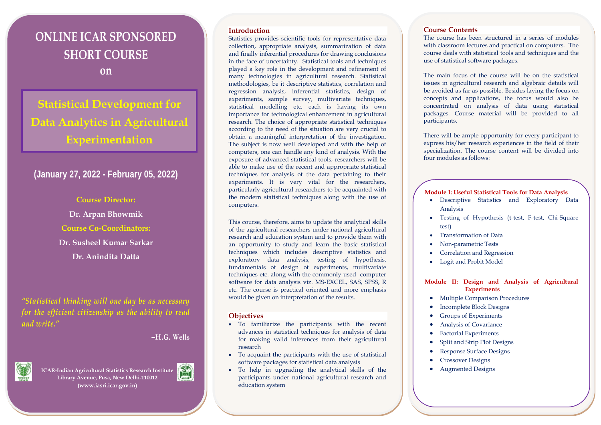# **ONLINE ICAR SPONSORED SHORT COURSE on**

## **Statistical Development for Data Analytics in Agricultural Experimentation**

## **(January 27, 2022 - February 05, 2022)**

**Course Director: Dr. Arpan Bhowmik Course Co-Coordinators: Dr. Susheel Kumar Sarkar Dr. Anindita Datta**

*"Statistical thinking will one day be as necessary for the efficient citizenship as the ability to read and write."* 

### **–H.G. Wells**



**ICAR-Indian Agricultural Statistics Research Institute Library Avenue, Pusa, New Delhi-110012 (www.iasri.icar.gov.in)**



#### **Introduction**

Statistics provides scientific tools for representative data collection, appropriate analysis, summarization of data and finally inferential procedures for drawing conclusions in the face of uncertainty. Statistical tools and techniques played a key role in the development and refinement of many technologies in agricultural research. Statistical methodologies, be it descriptive statistics, correlation and regression analysis, inferential statistics, design of experiments, sample survey, multivariate techniques, statistical modelling etc. each is having its own importance for technological enhancement in agricultural research. The choice of appropriate statistical techniques according to the need of the situation are very crucial to obtain a meaningful interpretation of the investigation. The subject is now well developed and with the help of computers, one can handle any kind of analysis. With the exposure of advanced statistical tools, researchers will be able to make use of the recent and appropriate statistical techniques for analysis of the data pertaining to their experiments. It is very vital for the researchers, particularly agricultural researchers to be acquainted with the modern statistical techniques along with the use of computers.

This course, therefore, aims to update the analytical skills of the agricultural researchers under national agricultural research and education system and to provide them with an opportunity to study and learn the basic statistical techniques which includes descriptive statistics and exploratory data analysis, testing of hypothesis, fundamentals of design of experiments, multivariate techniques etc. along with the commonly used computer software for data analysis viz. MS-EXCEL, SAS, SPSS, R etc. The course is practical oriented and more emphasis would be given on interpretation of the results.

#### **Objectives**

- To familiarize the participants with the recent advances in statistical techniques for analysis of data for making valid inferences from their agricultural research
- To acquaint the participants with the use of statistical software packages for statistical data analysis
- To help in upgrading the analytical skills of the participants under national agricultural research and education system

#### **Course Contents**

The course has been structured in a series of modules with classroom lectures and practical on computers. The course deals with statistical tools and techniques and the use of statistical software packages.

The main focus of the course will be on the statistical issues in agricultural research and algebraic details will be avoided as far as possible. Besides laying the focus on concepts and applications, the focus would also be concentrated on analysis of data using statistical packages. Course material will be provided to all participants.

There will be ample opportunity for every participant to express his/her research experiences in the field of their specialization. The course content will be divided into four modules as follows:

#### **Module I: Useful Statistical Tools for Data Analysis**

- Descriptive Statistics and Exploratory Data Analysis
- Testing of Hypothesis (t-test, F-test, Chi-Square test)
- Transformation of Data
- Non-parametric Tests
- Correlation and Regression
- Logit and Probit Model

#### **Module II: Design and Analysis of Agricultural Experiments**

- Multiple Comparison Procedures
- Incomplete Block Designs
- Groups of Experiments
- Analysis of Covariance
- Factorial Experiments
- Split and Strip Plot Designs
- Response Surface Designs
- Crossover Designs
- Augmented Designs